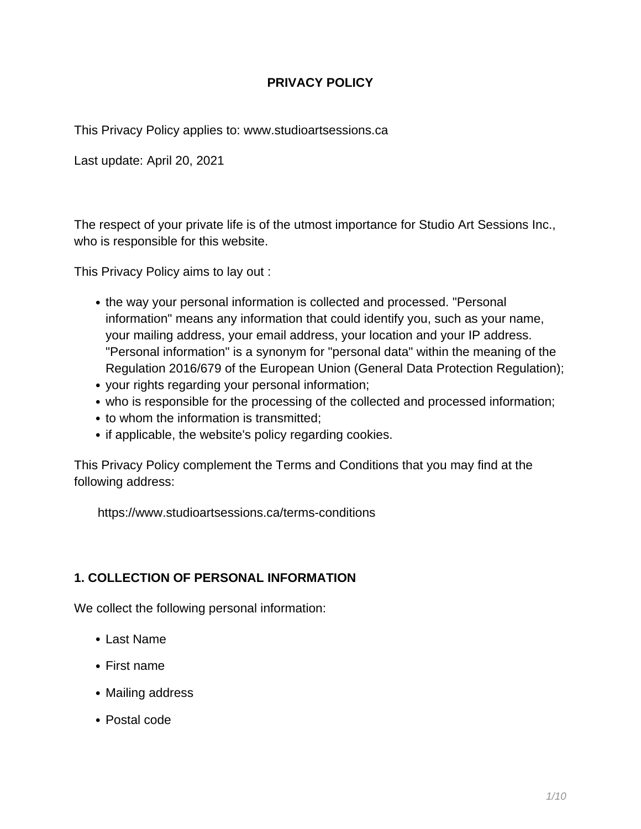## **PRIVACY POLICY**

This Privacy Policy applies to: www.studioartsessions.ca

Last update: April 20, 2021

The respect of your private life is of the utmost importance for Studio Art Sessions Inc., who is responsible for this website.

This Privacy Policy aims to lay out :

- the way your personal information is collected and processed. "Personal information" means any information that could identify you, such as your name, your mailing address, your email address, your location and your IP address. "Personal information" is a synonym for "personal data" within the meaning of the Regulation 2016/679 of the European Union (General Data Protection Regulation);
- your rights regarding your personal information;
- who is responsible for the processing of the collected and processed information;
- to whom the information is transmitted:
- if applicable, the website's policy regarding cookies.

This Privacy Policy complement the Terms and Conditions that you may find at the following address:

https://www.studioartsessions.ca/terms-conditions

### **1. COLLECTION OF PERSONAL INFORMATION**

We collect the following personal information:

- Last Name
- First name
- Mailing address
- Postal code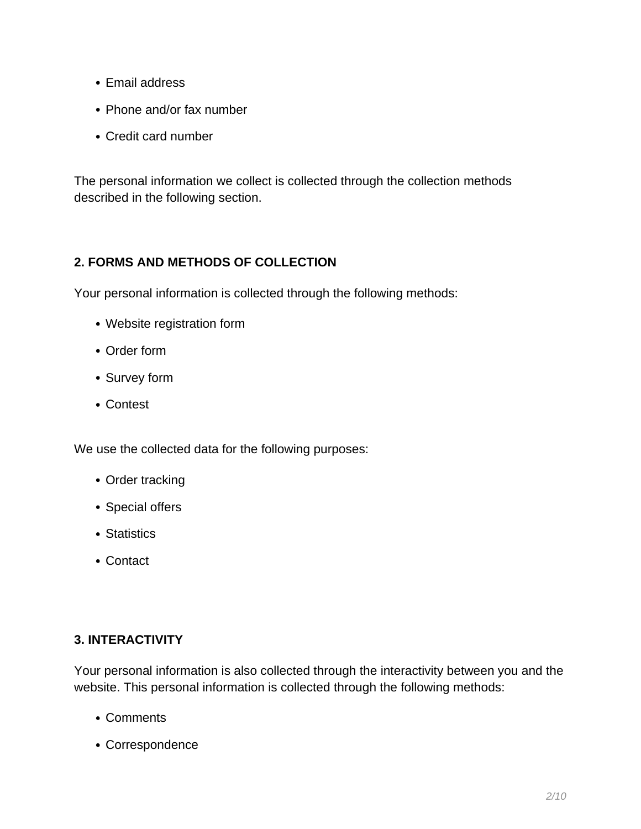- Email address
- Phone and/or fax number
- Credit card number

The personal information we collect is collected through the collection methods described in the following section.

## **2. FORMS AND METHODS OF COLLECTION**

Your personal information is collected through the following methods:

- Website registration form
- Order form
- Survey form
- Contest

We use the collected data for the following purposes:

- Order tracking
- Special offers
- Statistics
- Contact

### **3. INTERACTIVITY**

Your personal information is also collected through the interactivity between you and the website. This personal information is collected through the following methods:

- Comments
- Correspondence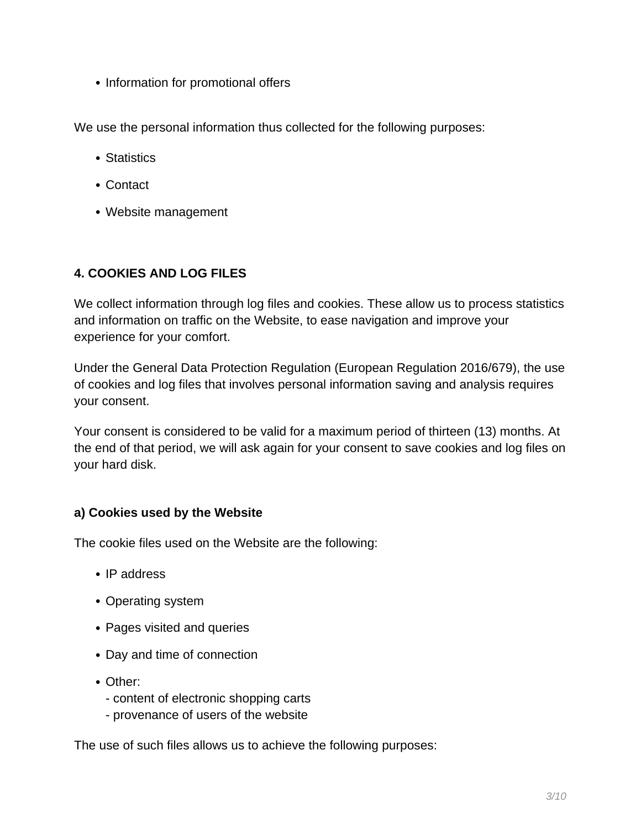• Information for promotional offers

We use the personal information thus collected for the following purposes:

- Statistics
- Contact
- Website management

## **4. COOKIES AND LOG FILES**

We collect information through log files and cookies. These allow us to process statistics and information on traffic on the Website, to ease navigation and improve your experience for your comfort.

Under the General Data Protection Regulation (European Regulation 2016/679), the use of cookies and log files that involves personal information saving and analysis requires your consent.

Your consent is considered to be valid for a maximum period of thirteen (13) months. At the end of that period, we will ask again for your consent to save cookies and log files on your hard disk.

### **a) Cookies used by the Website**

The cookie files used on the Website are the following:

- IP address
- Operating system
- Pages visited and queries
- Day and time of connection
- Other:
	- content of electronic shopping carts
	- provenance of users of the website

The use of such files allows us to achieve the following purposes: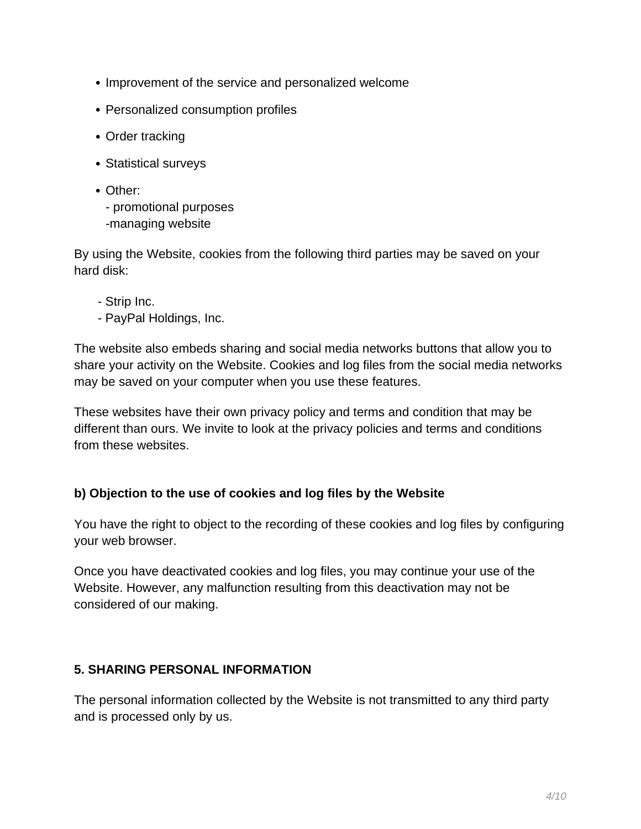- Improvement of the service and personalized welcome
- Personalized consumption profiles
- Order tracking
- Statistical surveys
- Other:

- promotional purposes -managing website

By using the Website, cookies from the following third parties may be saved on your hard disk:

- Strip Inc.
- PayPal Holdings, Inc.

The website also embeds sharing and social media networks buttons that allow you to share your activity on the Website. Cookies and log files from the social media networks may be saved on your computer when you use these features.

These websites have their own privacy policy and terms and condition that may be different than ours. We invite to look at the privacy policies and terms and conditions from these websites.

### **b) Objection to the use of cookies and log files by the Website**

You have the right to object to the recording of these cookies and log files by configuring your web browser.

Once you have deactivated cookies and log files, you may continue your use of the Website. However, any malfunction resulting from this deactivation may not be considered of our making.

### **5. SHARING PERSONAL INFORMATION**

The personal information collected by the Website is not transmitted to any third party and is processed only by us.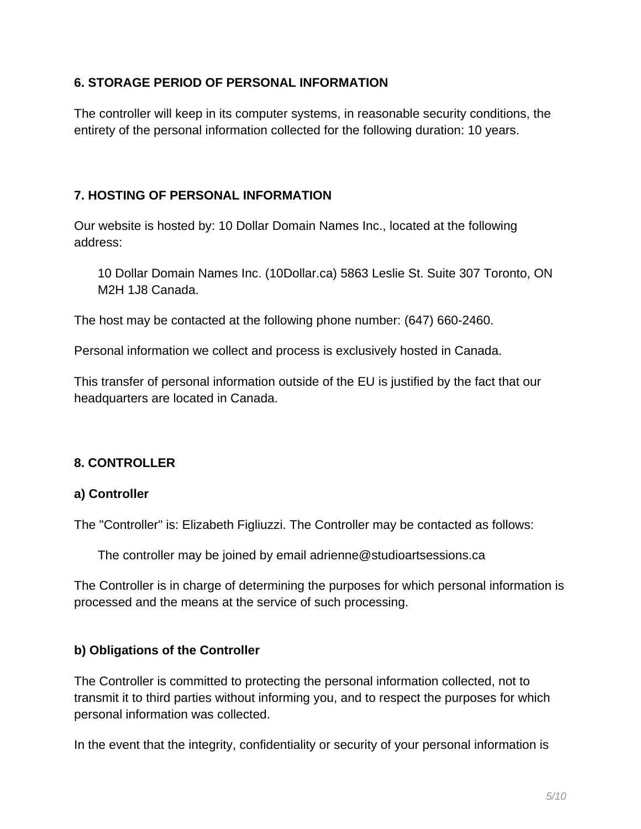### **6. STORAGE PERIOD OF PERSONAL INFORMATION**

The controller will keep in its computer systems, in reasonable security conditions, the entirety of the personal information collected for the following duration: 10 years.

## **7. HOSTING OF PERSONAL INFORMATION**

Our website is hosted by: 10 Dollar Domain Names Inc., located at the following address:

10 Dollar Domain Names Inc. (10Dollar.ca) 5863 Leslie St. Suite 307 Toronto, ON M2H 1J8 Canada.

The host may be contacted at the following phone number: (647) 660-2460.

Personal information we collect and process is exclusively hosted in Canada.

This transfer of personal information outside of the EU is justified by the fact that our headquarters are located in Canada.

## **8. CONTROLLER**

### **a) Controller**

The "Controller" is: Elizabeth Figliuzzi. The Controller may be contacted as follows:

The controller may be joined by email adrienne@studioartsessions.ca

The Controller is in charge of determining the purposes for which personal information is processed and the means at the service of such processing.

### **b) Obligations of the Controller**

The Controller is committed to protecting the personal information collected, not to transmit it to third parties without informing you, and to respect the purposes for which personal information was collected.

In the event that the integrity, confidentiality or security of your personal information is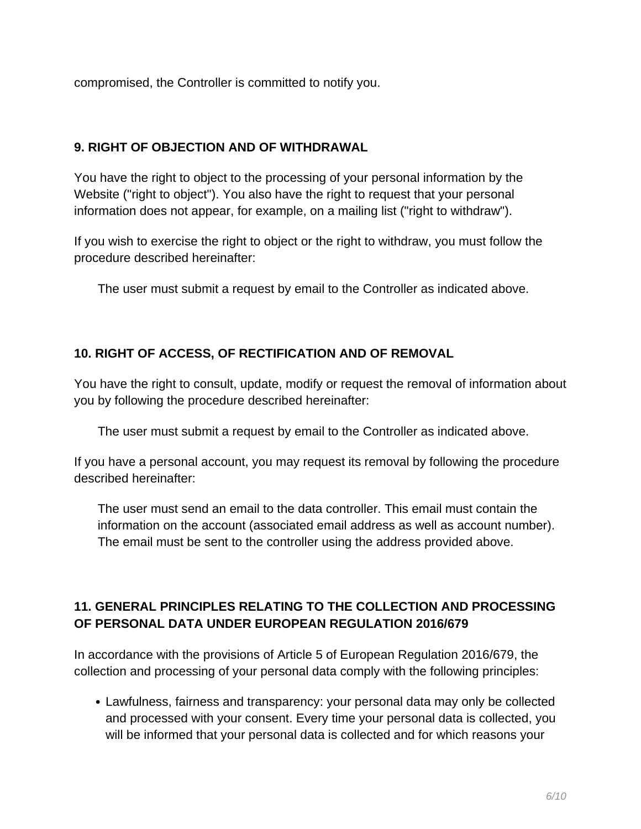compromised, the Controller is committed to notify you.

## **9. RIGHT OF OBJECTION AND OF WITHDRAWAL**

You have the right to object to the processing of your personal information by the Website ("right to object"). You also have the right to request that your personal information does not appear, for example, on a mailing list ("right to withdraw").

If you wish to exercise the right to object or the right to withdraw, you must follow the procedure described hereinafter:

The user must submit a request by email to the Controller as indicated above.

## **10. RIGHT OF ACCESS, OF RECTIFICATION AND OF REMOVAL**

You have the right to consult, update, modify or request the removal of information about you by following the procedure described hereinafter:

The user must submit a request by email to the Controller as indicated above.

If you have a personal account, you may request its removal by following the procedure described hereinafter:

The user must send an email to the data controller. This email must contain the information on the account (associated email address as well as account number). The email must be sent to the controller using the address provided above.

# **11. GENERAL PRINCIPLES RELATING TO THE COLLECTION AND PROCESSING OF PERSONAL DATA UNDER EUROPEAN REGULATION 2016/679**

In accordance with the provisions of Article 5 of European Regulation 2016/679, the collection and processing of your personal data comply with the following principles:

Lawfulness, fairness and transparency: your personal data may only be collected and processed with your consent. Every time your personal data is collected, you will be informed that your personal data is collected and for which reasons your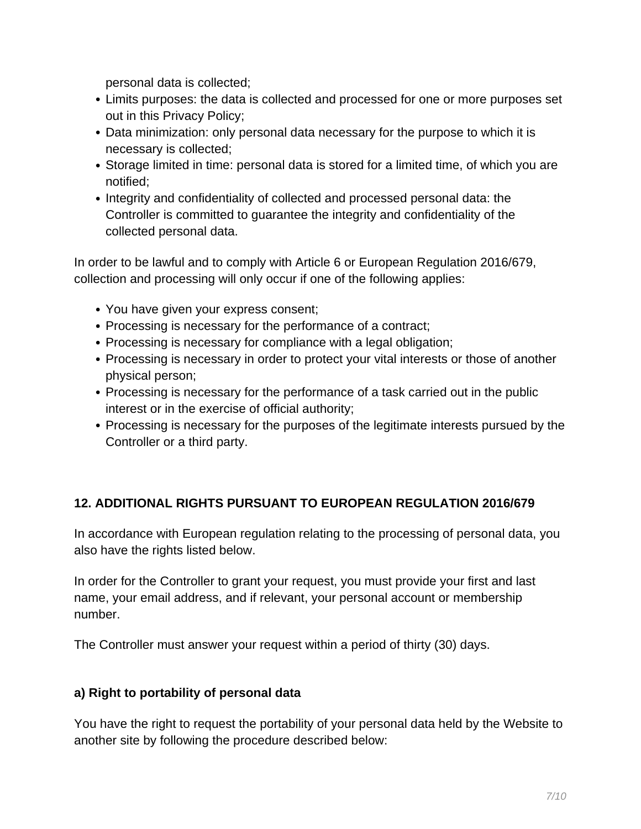personal data is collected;

- Limits purposes: the data is collected and processed for one or more purposes set out in this Privacy Policy;
- Data minimization: only personal data necessary for the purpose to which it is necessary is collected;
- Storage limited in time: personal data is stored for a limited time, of which you are notified;
- Integrity and confidentiality of collected and processed personal data: the Controller is committed to guarantee the integrity and confidentiality of the collected personal data.

In order to be lawful and to comply with Article 6 or European Regulation 2016/679, collection and processing will only occur if one of the following applies:

- You have given your express consent;
- Processing is necessary for the performance of a contract;
- Processing is necessary for compliance with a legal obligation;
- Processing is necessary in order to protect your vital interests or those of another physical person;
- Processing is necessary for the performance of a task carried out in the public interest or in the exercise of official authority;
- Processing is necessary for the purposes of the legitimate interests pursued by the Controller or a third party.

## **12. ADDITIONAL RIGHTS PURSUANT TO EUROPEAN REGULATION 2016/679**

In accordance with European regulation relating to the processing of personal data, you also have the rights listed below.

In order for the Controller to grant your request, you must provide your first and last name, your email address, and if relevant, your personal account or membership number.

The Controller must answer your request within a period of thirty (30) days.

### **a) Right to portability of personal data**

You have the right to request the portability of your personal data held by the Website to another site by following the procedure described below: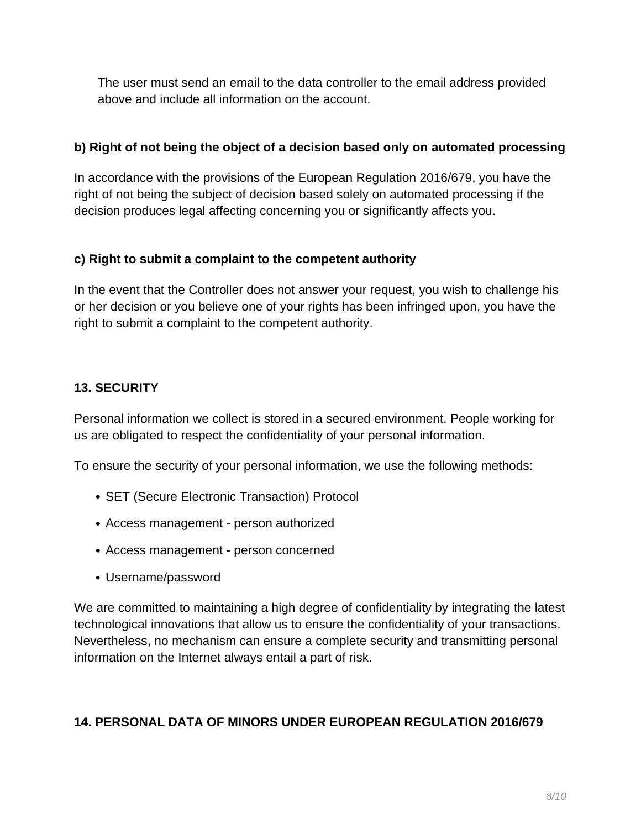The user must send an email to the data controller to the email address provided above and include all information on the account.

## **b) Right of not being the object of a decision based only on automated processing**

In accordance with the provisions of the European Regulation 2016/679, you have the right of not being the subject of decision based solely on automated processing if the decision produces legal affecting concerning you or significantly affects you.

## **c) Right to submit a complaint to the competent authority**

In the event that the Controller does not answer your request, you wish to challenge his or her decision or you believe one of your rights has been infringed upon, you have the right to submit a complaint to the competent authority.

## **13. SECURITY**

Personal information we collect is stored in a secured environment. People working for us are obligated to respect the confidentiality of your personal information.

To ensure the security of your personal information, we use the following methods:

- SET (Secure Electronic Transaction) Protocol
- Access management person authorized
- Access management person concerned
- Username/password

We are committed to maintaining a high degree of confidentiality by integrating the latest technological innovations that allow us to ensure the confidentiality of your transactions. Nevertheless, no mechanism can ensure a complete security and transmitting personal information on the Internet always entail a part of risk.

## **14. PERSONAL DATA OF MINORS UNDER EUROPEAN REGULATION 2016/679**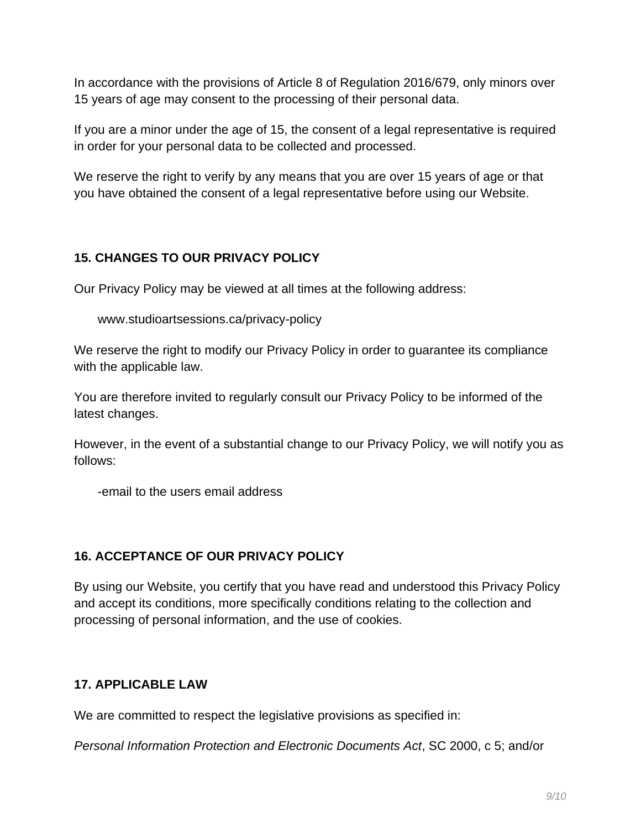In accordance with the provisions of Article 8 of Regulation 2016/679, only minors over 15 years of age may consent to the processing of their personal data.

If you are a minor under the age of 15, the consent of a legal representative is required in order for your personal data to be collected and processed.

We reserve the right to verify by any means that you are over 15 years of age or that you have obtained the consent of a legal representative before using our Website.

# **15. CHANGES TO OUR PRIVACY POLICY**

Our Privacy Policy may be viewed at all times at the following address:

www.studioartsessions.ca/privacy-policy

We reserve the right to modify our Privacy Policy in order to guarantee its compliance with the applicable law.

You are therefore invited to regularly consult our Privacy Policy to be informed of the latest changes.

However, in the event of a substantial change to our Privacy Policy, we will notify you as follows:

-email to the users email address

## **16. ACCEPTANCE OF OUR PRIVACY POLICY**

By using our Website, you certify that you have read and understood this Privacy Policy and accept its conditions, more specifically conditions relating to the collection and processing of personal information, and the use of cookies.

## **17. APPLICABLE LAW**

We are committed to respect the legislative provisions as specified in:

Personal Information Protection and Electronic Documents Act, SC 2000, c 5; and/or